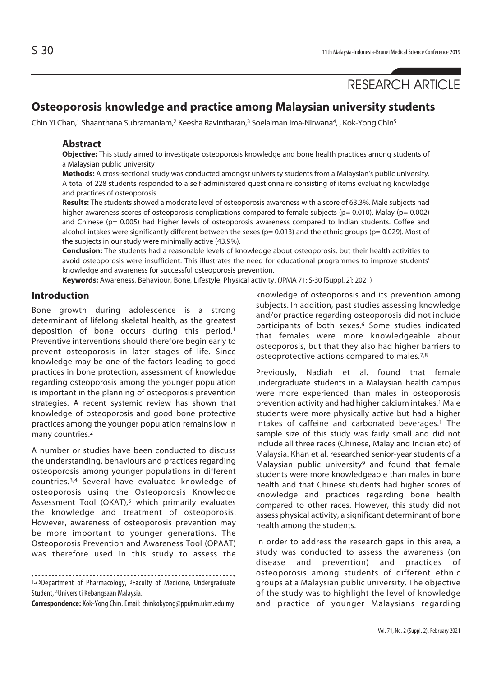# RESEARCH ARTICLE

## **Osteoporosis knowledge and practice among Malaysian university students**

Chin Yi Chan,<sup>1</sup> Shaanthana Subramaniam,<sup>2</sup> Keesha Ravintharan,<sup>3</sup> Soelaiman Ima-Nirwana<sup>4</sup>,, Kok-Yong Chin<sup>5</sup>

#### **Abstract**

**Objective:** This study aimed to investigate osteoporosis knowledge and bone health practices among students of a Malaysian public university

**Methods:** A cross-sectional study was conducted amongst university students from a Malaysian's public university. A total of 228 students responded to a self-administered questionnaire consisting of items evaluating knowledge and practices of osteoporosis.

**Results:** The students showed a moderate level of osteoporosis awareness with a score of 63.3%. Male subjects had higher awareness scores of osteoporosis complications compared to female subjects ( $p= 0.010$ ). Malay ( $p= 0.002$ ) and Chinese (p= 0.005) had higher levels of osteoporosis awareness compared to Indian students. Coffee and alcohol intakes were significantly different between the sexes ( $p= 0.013$ ) and the ethnic groups ( $p= 0.029$ ). Most of the subjects in our study were minimally active (43.9%).

**Conclusion:** The students had a reasonable levels of knowledge about osteoporosis, but their health activities to avoid osteoporosis were insufficient. This illustrates the need for educational programmes to improve students' knowledge and awareness for successful osteoporosis prevention.

**Keywords:** Awareness, Behaviour, Bone, Lifestyle, Physical activity. (JPMA 71: S-30 [Suppl. 2]; 2021)

## **Introduction**

Bone growth during adolescence is a strong determinant of lifelong skeletal health, as the greatest deposition of bone occurs during this period.1 Preventive interventions should therefore begin early to prevent osteoporosis in later stages of life. Since knowledge may be one of the factors leading to good practices in bone protection, assessment of knowledge regarding osteoporosis among the younger population is important in the planning of osteoporosis prevention strategies. A recent systemic review has shown that knowledge of osteoporosis and good bone protective practices among the younger population remains low in many countries.2

A number or studies have been conducted to discuss the understanding, behaviours and practices regarding osteoporosis among younger populations in different countries.3,4 Several have evaluated knowledge of osteoporosis using the Osteoporosis Knowledge Assessment Tool (OKAT),<sup>5</sup> which primarily evaluates the knowledge and treatment of osteoporosis. However, awareness of osteoporosis prevention may be more important to younger generations. The Osteoporosis Prevention and Awareness Tool (OPAAT) was therefore used in this study to assess the

1,2,5Department of Pharmacology, <sup>3</sup>Faculty of Medicine, Undergraduate Student, 4Universiti Kebangsaan Malaysia.

**Correspondence:** Kok-Yong Chin. Email: chinkokyong@ppukm.ukm.edu.my

knowledge of osteoporosis and its prevention among subjects. In addition, past studies assessing knowledge and/or practice regarding osteoporosis did not include participants of both sexes.<sup>6</sup> Some studies indicated that females were more knowledgeable about osteoporosis, but that they also had higher barriers to osteoprotective actions compared to males.7,8

Previously, Nadiah et al. found that female undergraduate students in a Malaysian health campus were more experienced than males in osteoporosis prevention activity and had higher calcium intakes.1 Male students were more physically active but had a higher intakes of caffeine and carbonated beverages.<sup>1</sup> The sample size of this study was fairly small and did not include all three races (Chinese, Malay and Indian etc) of Malaysia. Khan et al. researched senior-year students of a Malaysian public university<sup>9</sup> and found that female students were more knowledgeable than males in bone health and that Chinese students had higher scores of knowledge and practices regarding bone health compared to other races. However, this study did not assess physical activity, a significant determinant of bone health among the students.

In order to address the research gaps in this area, a study was conducted to assess the awareness (on disease and prevention) and practices of osteoporosis among students of different ethnic groups at a Malaysian public university. The objective of the study was to highlight the level of knowledge and practice of younger Malaysians regarding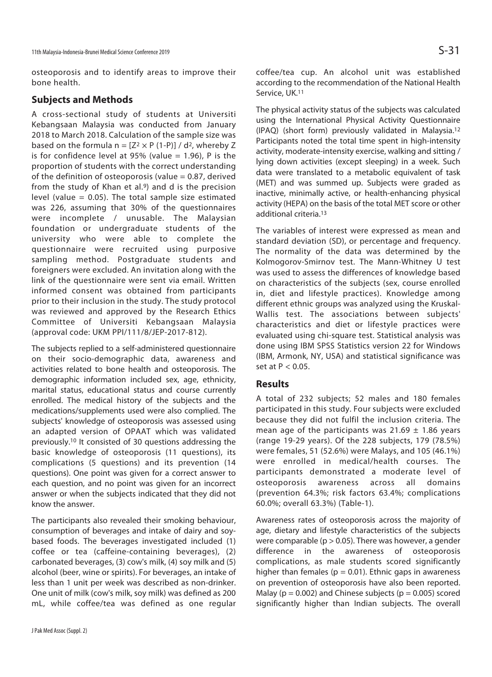osteoporosis and to identify areas to improve their bone health.

## **Subjects and Methods**

A cross-sectional study of students at Universiti Kebangsaan Malaysia was conducted from January 2018 to March 2018. Calculation of the sample size was based on the formula  $n = [Z^2 \times P (1-P)] / d^2$ , whereby Z is for confidence level at 95% (value  $= 1.96$ ), P is the proportion of students with the correct understanding of the definition of osteoporosis (value  $= 0.87$ , derived from the study of Khan et al.9) and d is the precision level (value  $= 0.05$ ). The total sample size estimated was 226, assuming that 30% of the questionnaires were incomplete / unusable. The Malaysian foundation or undergraduate students of the university who were able to complete the questionnaire were recruited using purposive sampling method. Postgraduate students and foreigners were excluded. An invitation along with the link of the questionnaire were sent via email. Written informed consent was obtained from participants prior to their inclusion in the study. The study protocol was reviewed and approved by the Research Ethics Committee of Universiti Kebangsaan Malaysia (approval code: UKM PPI/111/8/JEP-2017-812).

The subjects replied to a self-administered questionnaire on their socio-demographic data, awareness and activities related to bone health and osteoporosis. The demographic information included sex, age, ethnicity, marital status, educational status and course currently enrolled. The medical history of the subjects and the medications/supplements used were also complied. The subjects' knowledge of osteoporosis was assessed using an adapted version of OPAAT which was validated previously.10 It consisted of 30 questions addressing the basic knowledge of osteoporosis (11 questions), its complications (5 questions) and its prevention (14 questions). One point was given for a correct answer to each question, and no point was given for an incorrect answer or when the subjects indicated that they did not know the answer.

The participants also revealed their smoking behaviour, consumption of beverages and intake of dairy and soybased foods. The beverages investigated included (1) coffee or tea (caffeine-containing beverages), (2) carbonated beverages, (3) cow's milk, (4) soy milk and (5) alcohol (beer, wine or spirits). For beverages, an intake of less than 1 unit per week was described as non-drinker. One unit of milk (cow's milk, soy milk) was defined as 200 mL, while coffee/tea was defined as one regular coffee/tea cup. An alcohol unit was established according to the recommendation of the National Health Service, UK.11

The physical activity status of the subjects was calculated using the International Physical Activity Questionnaire (IPAQ) (short form) previously validated in Malaysia.12 Participants noted the total time spent in high-intensity activity, moderate-intensity exercise, walking and sitting / lying down activities (except sleeping) in a week. Such data were translated to a metabolic equivalent of task (MET) and was summed up. Subjects were graded as inactive, minimally active, or health-enhancing physical activity (HEPA) on the basis of the total MET score or other additional criteria.13

The variables of interest were expressed as mean and standard deviation (SD), or percentage and frequency. The normality of the data was determined by the Kolmogorov-Smirnov test. The Mann-Whitney U test was used to assess the differences of knowledge based on characteristics of the subjects (sex, course enrolled in, diet and lifestyle practices). Knowledge among different ethnic groups was analyzed using the Kruskal-Wallis test. The associations between subjects' characteristics and diet or lifestyle practices were evaluated using chi-square test. Statistical analysis was done using IBM SPSS Statistics version 22 for Windows (IBM, Armonk, NY, USA) and statistical significance was set at P < 0.05.

## **Results**

A total of 232 subjects; 52 males and 180 females participated in this study. Four subjects were excluded because they did not fulfil the inclusion criteria. The mean age of the participants was  $21.69 \pm 1.86$  years (range 19-29 years). Of the 228 subjects, 179 (78.5%) were females, 51 (52.6%) were Malays, and 105 (46.1%) were enrolled in medical/health courses. The participants demonstrated a moderate level of osteoporosis awareness across all domains (prevention 64.3%; risk factors 63.4%; complications 60.0%; overall 63.3%) (Table-1).

Awareness rates of osteoporosis across the majority of age, dietary and lifestyle characteristics of the subjects were comparable ( $p > 0.05$ ). There was however, a gender difference in the awareness of osteoporosis complications, as male students scored significantly higher than females ( $p = 0.01$ ). Ethnic gaps in awareness on prevention of osteoporosis have also been reported. Malay ( $p = 0.002$ ) and Chinese subjects ( $p = 0.005$ ) scored significantly higher than Indian subjects. The overall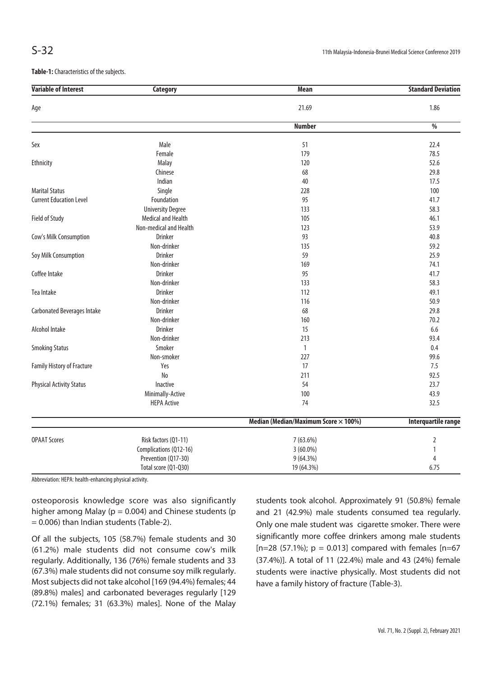| <b>Variable of Interest</b>     | Category                  | Mean                                        | <b>Standard Deviation</b>  |
|---------------------------------|---------------------------|---------------------------------------------|----------------------------|
| Age                             |                           | 21.69                                       | 1.86                       |
|                                 |                           | <b>Number</b>                               | $\overline{\frac{0}{0}}$   |
| Sex                             | Male                      | 51                                          | 22.4                       |
|                                 | Female                    | 179                                         | 78.5                       |
| Ethnicity                       | Malay                     | 120                                         | 52.6                       |
|                                 | Chinese                   | 68                                          | 29.8                       |
|                                 | Indian                    | 40                                          | 17.5                       |
| <b>Marital Status</b>           | Single                    | 228                                         | 100                        |
| <b>Current Education Level</b>  | Foundation                | 95                                          | 41.7                       |
|                                 | <b>University Degree</b>  | 133                                         | 58.3                       |
| Field of Study                  | <b>Medical and Health</b> | 105                                         | 46.1                       |
|                                 | Non-medical and Health    | 123                                         | 53.9                       |
| Cow's Milk Consumption          | Drinker                   | 93                                          | 40.8                       |
|                                 | Non-drinker               | 135                                         | 59.2                       |
| Soy Milk Consumption            | <b>Drinker</b>            | 59                                          | 25.9                       |
|                                 | Non-drinker               | 169                                         | 74.1                       |
| Coffee Intake                   | <b>Drinker</b>            | 95                                          | 41.7                       |
|                                 | Non-drinker               | 133                                         | 58.3                       |
| Tea Intake                      | <b>Drinker</b>            | 112                                         | 49.1                       |
|                                 | Non-drinker               | 116                                         | 50.9                       |
| Carbonated Beverages Intake     | <b>Drinker</b>            | 68                                          | 29.8                       |
|                                 | Non-drinker               | 160                                         | 70.2                       |
| Alcohol Intake                  | <b>Drinker</b>            | 15                                          | 6.6                        |
|                                 | Non-drinker               | 213                                         | 93.4                       |
| <b>Smoking Status</b>           | Smoker                    | $\mathbf{1}$                                | 0.4                        |
|                                 | Non-smoker                | 227                                         | 99.6                       |
| Family History of Fracture      | Yes                       | 17                                          | 7.5                        |
|                                 | No                        | 211                                         | 92.5                       |
| <b>Physical Activity Status</b> | Inactive                  | 54                                          | 23.7                       |
|                                 | Minimally-Active          | 100                                         | 43.9                       |
|                                 | <b>HEPA Active</b>        | 74                                          | 32.5                       |
|                                 |                           | Median (Median/Maximum Score $\times$ 100%) | <b>Interquartile range</b> |
| <b>OPAAT Scores</b>             | Risk factors (Q1-11)      | $7(63.6\%)$                                 | 2                          |
|                                 | Complications (Q12-16)    | $3(60.0\%)$                                 | 1                          |
|                                 | Prevention (Q17-30)       |                                             | 4                          |
|                                 |                           | 9 (64.3%)                                   | 6.75                       |
|                                 | Total score (Q1-Q30)      | 19 (64.3%)                                  |                            |

Abbreviation: HEPA: health-enhancing physical activity.

osteoporosis knowledge score was also significantly higher among Malay ( $p = 0.004$ ) and Chinese students ( $p$ = 0.006) than Indian students (Table-2).

Of all the subjects, 105 (58.7%) female students and 30 (61.2%) male students did not consume cow's milk regularly. Additionally, 136 (76%) female students and 33 (67.3%) male students did not consume soy milk regularly. Most subjects did not take alcohol [169 (94.4%) females; 44 (89.8%) males] and carbonated beverages regularly [129 (72.1%) females; 31 (63.3%) males]. None of the Malay

students took alcohol. Approximately 91 (50.8%) female and 21 (42.9%) male students consumed tea regularly. Only one male student was cigarette smoker. There were significantly more coffee drinkers among male students  $[n=28 (57.1\%); p = 0.013]$  compared with females  $[n=67]$ (37.4%)]. A total of 11 (22.4%) male and 43 (24%) female students were inactive physically. Most students did not have a family history of fracture (Table-3).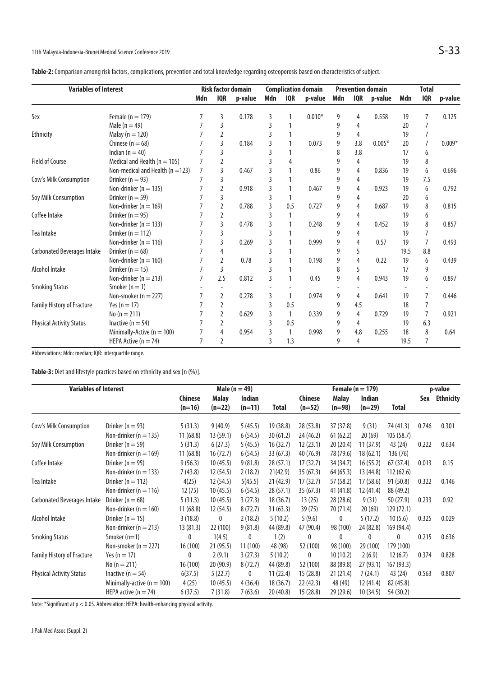**Table-2:** Comparison among risk factors, complications, prevention and total knowledge regarding osteoporosis based on characteristics of subject.

| <b>Variables of Interest</b>       |                                      | <b>Risk factor domain</b> |                | <b>Complication domain</b> |     |              | <b>Prevention domain</b> |     |            | <b>Total</b> |      |                |          |
|------------------------------------|--------------------------------------|---------------------------|----------------|----------------------------|-----|--------------|--------------------------|-----|------------|--------------|------|----------------|----------|
|                                    |                                      | Mdn                       | <b>IQR</b>     | p-value                    | Mdn | <b>IQR</b>   | p-value                  | Mdn | <b>IQR</b> | p-value      | Mdn  | <b>IQR</b>     | p-value  |
| Sex                                | Female $(n = 179)$                   |                           | 3              | 0.178                      | 3   |              | $0.010*$                 | 9   | 4          | 0.558        | 19   | 7              | 0.125    |
|                                    | Male $(n = 49)$                      |                           | 3              |                            | 3   |              |                          | 9   | 4          |              | 20   |                |          |
| Ethnicity                          | Malay ( $n = 120$ )                  |                           | $\overline{2}$ |                            |     |              |                          | 9   | 4          |              | 19   |                |          |
|                                    | Chinese ( $n = 68$ )                 |                           | 3              | 0.184                      | 3   |              | 0.073                    | 9   | 3.8        | $0.005*$     | 20   | 7              | $0.009*$ |
|                                    | Indian ( $n = 40$ )                  |                           | 3              |                            | 3   |              |                          |     | 3.8        |              | 17   | 6              |          |
| <b>Field of Course</b>             | Medical and Health ( $n = 105$ )     | 7                         | $\overline{2}$ |                            | 3   | 4            |                          | 9   | 4          |              | 19   | 8              |          |
|                                    | Non-medical and Health ( $n = 123$ ) | 7                         | 3              | 0.467                      | 3   |              | 0.86                     | 9   | 4          | 0.836        | 19   | 6              | 0.696    |
| Cow's Milk Consumption             | Drinker ( $n = 93$ )                 |                           | 3              |                            | 3   |              |                          | 9   | 4          |              | 19   | 7.5            |          |
|                                    | Non-drinker ( $n = 135$ )            |                           | $\overline{2}$ | 0.918                      | 3   |              | 0.467                    | g   | 4          | 0.923        | 19   | 6              | 0.792    |
| Soy Milk Consumption               | Drinker ( $n = 59$ )                 |                           | 3              |                            | 3   |              |                          |     | 4          |              | 20   | 6              |          |
|                                    | Non-drinker ( $n = 169$ )            |                           | $\overline{2}$ | 0.788                      | 3   | 0.5          | 0.727                    | 9   | 4          | 0.687        | 19   | 8              | 0.815    |
| Coffee Intake                      | Drinker ( $n = 95$ )                 |                           | $\overline{2}$ |                            | 3   |              |                          | 9   | 4          |              | 19   | 6              |          |
|                                    | Non-drinker ( $n = 133$ )            |                           | 3              | 0.478                      | 3   |              | 0.248                    | 9   | 4          | 0.452        | 19   | 8              | 0.857    |
| Tea Intake                         | Drinker ( $n = 112$ )                |                           | 3              |                            | 3   |              |                          |     | 4          |              | 19   | 7              |          |
|                                    | Non-drinker ( $n = 116$ )            |                           | $\overline{3}$ | 0.269                      | 3   |              | 0.999                    | 9   | 4          | 0.57         | 19   | $\overline{7}$ | 0.493    |
| <b>Carbonated Beverages Intake</b> | Drinker ( $n = 68$ )                 |                           | 4              |                            |     |              |                          |     | 5          |              | 19.5 | 8.8            |          |
|                                    | Non-drinker ( $n = 160$ )            |                           | $\overline{2}$ | 0.78                       | ξ   |              | 0.198                    | g   | 4          | 0.22         | 19   | 6              | 0.439    |
| Alcohol Intake                     | Drinker ( $n = 15$ )                 |                           | 3              |                            | 3   |              |                          |     | 5          |              | 17   | 9              |          |
|                                    | Non-drinker ( $n = 213$ )            | 7                         | 2.5            | 0.812                      | 3   |              | 0.45                     | 9   | 4          | 0.943        | 19   | 6              | 0.897    |
| <b>Smoking Status</b>              | Smoker $(n = 1)$                     |                           |                |                            |     |              |                          |     |            |              |      |                |          |
|                                    | Non-smoker ( $n = 227$ )             |                           | 2              | 0.278                      | 3   | 1            | 0.974                    | 9   | 4          | 0.641        | 19   | $\overline{7}$ | 0.446    |
| <b>Family History of Fracture</b>  | Yes $(n = 17)$                       |                           | 2              |                            | 3   | 0.5          |                          | 9   | 4.5        |              | 18   | 7              |          |
|                                    | No $(n = 211)$                       |                           | $\overline{2}$ | 0.629                      | 3   | $\mathbf{1}$ | 0.339                    | g   | 4          | 0.729        | 19   | $\overline{7}$ | 0.921    |
| <b>Physical Activity Status</b>    | Inactive ( $n = 54$ )                |                           | 2              |                            | 3   | 0.5          |                          | q   | 4          |              | 19   | 6.3            |          |
|                                    | Minimally-Active ( $n = 100$ )       |                           | 4              | 0.954                      | 3   | 1            | 0.998                    | g   | 4.8        | 0.255        | 18   | 8              | 0.64     |
|                                    | HEPA Active $(n = 74)$               |                           | $\mathfrak z$  |                            | 3   | 1.3          |                          | 9   | 4          |              | 19.5 | 7              |          |

Abbreviations: Mdn: median; IQR: interquartile range.

**Table-3:** Diet and lifestyle practices based on ethnicity and sex [n (%)].

| <b>Variables of Interest</b>       |                                | Male ( $n = 49$ )   |                          |                    |              | Female ( $n = 179$ ) |                   |                    |            |       | p-value          |  |  |
|------------------------------------|--------------------------------|---------------------|--------------------------|--------------------|--------------|----------------------|-------------------|--------------------|------------|-------|------------------|--|--|
|                                    |                                | Chinese<br>$(n=16)$ | <b>Malay</b><br>$(n=22)$ | Indian<br>$(n=11)$ | <b>Total</b> | Chinese<br>$(n=52)$  | Malay<br>$(n=98)$ | Indian<br>$(n=29)$ | Total      | Sex   | <b>Ethnicity</b> |  |  |
| Cow's Milk Consumption             | Drinker ( $n = 93$ )           | 5(31.3)             | 9(40.9)                  | 5(45.5)            | 19 (38.8)    | 28 (53.8)            | 37(37.8)          | 9(31)              | 74 (41.3)  | 0.746 | 0.301            |  |  |
|                                    | Non-drinker ( $n = 135$ )      | 11(68.8)            | 13(59.1)                 | 6(54.5)            | 30(61.2)     | 24 (46.2)            | 61(62.2)          | 20 (69)            | 105 (58.7) |       |                  |  |  |
| Soy Milk Consumption               | Drinker ( $n = 59$ )           | 5(31.3)             | 6(27.3)                  | 5(45.5)            | 16(32.7)     | 12(23.1)             | 20(20.4)          | 11(37.9)           | 43 (24)    | 0.222 | 0.634            |  |  |
|                                    | Non-drinker ( $n = 169$ )      | 11(68.8)            | 16(72.7)                 | 6(54.5)            | 33(67.3)     | 40 (76.9)            | 78 (79.6)         | 18 (62.1)          | 136 (76)   |       |                  |  |  |
| Coffee Intake                      | Drinker ( $n = 95$ )           | 9(56.3)             | 10(45.5)                 | 9(81.8)            | 28(57.1)     | 17(32.7)             | 34 (34.7)         | 16(55.2)           | 67(37.4)   | 0.013 | 0.15             |  |  |
|                                    | Non-drinker ( $n = 133$ )      | 7(43.8)             | 12 (54.5)                | 2(18.2)            | 21(42.9)     | 35(67.3)             | 64(65.3)          | 13 (44.8)          | 112(62.6)  |       |                  |  |  |
| Tea Intake                         | Drinker ( $n = 112$ )          | 4(25)               | 12 (54.5)                | 5(45.5)            | 21(42.9)     | 17(32.7)             | 57 (58.2)         | 17(58.6)           | 91 (50.8)  | 0.322 | 0.146            |  |  |
|                                    | Non-drinker ( $n = 116$ )      | 12(75)              | 10(45.5)                 | 6(54.5)            | 28(57.1)     | 35(67.3)             | 41 (41.8)         | 12 (41.4)          | 88 (49.2)  |       |                  |  |  |
| <b>Carbonated Beverages Intake</b> | Drinker ( $n = 68$ )           | 5(31.3)             | 10(45.5)                 | 3(27.3)            | 18(36.7)     | 13(25)               | 28 (28.6)         | 9(31)              | 50 (27.9)  | 0.233 | 0.92             |  |  |
|                                    | Non-drinker ( $n = 160$ )      | 11(68.8)            | 12 (54.5)                | 8(72.7)            | 31(63.3)     | 39 (75)              | 70 (71.4)         | 20 (69)            | 129 (72.1) |       |                  |  |  |
| Alcohol Intake                     | Drinker ( $n = 15$ )           | 3(18.8)             | 0                        | 2(18.2)            | 5(10.2)      | 5(9.6)               | $\mathbf{0}$      | 5(17.2)            | 10(5.6)    | 0.325 | 0.029            |  |  |
|                                    | Non-drinker ( $n = 213$ )      | 13(81.3)            | 22 (100)                 | 9(81.8)            | 44 (89.8)    | 47 (90.4)            | 98 (100)          | 24 (82.8)          | 169 (94.4) |       |                  |  |  |
| <b>Smoking Status</b>              | Smoker $(n=1)$                 | 0                   | 1(4.5)                   | 0                  | 1(2)         | 0                    | 0                 | 0                  | 0          | 0.215 | 0.636            |  |  |
|                                    | Non-smoker ( $n = 227$ )       | 16(100)             | 21(95.5)                 | 11(100)            | 48 (98)      | 52 (100)             | 98 (100)          | 29 (100)           | 179 (100)  |       |                  |  |  |
| <b>Family History of Fracture</b>  | Yes ( $n = 17$ )               | $\mathbf{0}$        | 2(9.1)                   | 3(27.3)            | 5(10.2)      | 0                    | 10(10.2)          | 2(6.9)             | 12(6.7)    | 0.374 | 0.828            |  |  |
|                                    | No $(n = 211)$                 | 16(100)             | 20 (90.9)                | 8(72.7)            | 44 (89.8)    | 52 (100)             | 88 (89.8)         | 27(93.1)           | 167 (93.3) |       |                  |  |  |
| <b>Physical Activity Status</b>    | Inactive ( $n = 54$ )          | 6(37.5)             | 5(22.7)                  | 0                  | 11(22.4)     | 15(28.8)             | 21(21.4)          | 7(24.1)            | 43 (24)    | 0.563 | 0.807            |  |  |
|                                    | Minimally-active ( $n = 100$ ) | 4(25)               | 10(45.5)                 | 4(36.4)            | 18(36.7)     | 22(42.3)             | 48 (49)           | 12(41.4)           | 82 (45.8)  |       |                  |  |  |
|                                    | HEPA active $(n = 74)$         | 6(37.5)             | 7(31.8)                  | 7(63.6)            | 20(40.8)     | 15(28.8)             | 29 (29.6)         | 10 (34.5)          | 54 (30.2)  |       |                  |  |  |

Note: \*Significant at p < 0.05. Abbreviation: HEPA: health-enhancing physical activity.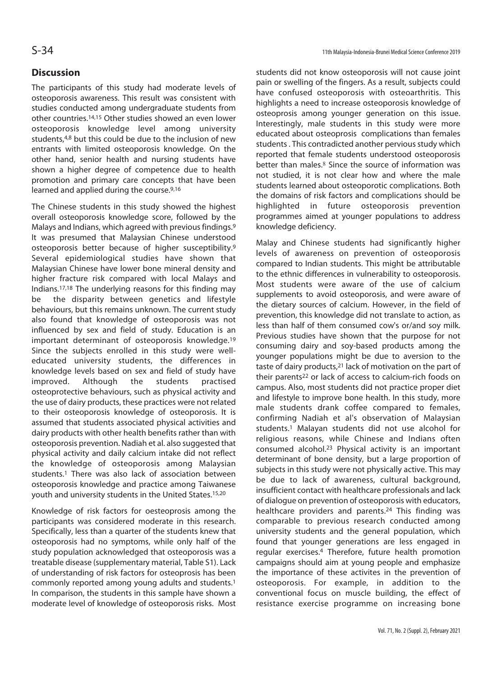## **Discussion**

The participants of this study had moderate levels of osteoporosis awareness. This result was consistent with studies conducted among undergraduate students from other countries.14,15 Other studies showed an even lower osteoporosis knowledge level among university students,4,8 but this could be due to the inclusion of new entrants with limited osteoporosis knowledge. On the other hand, senior health and nursing students have shown a higher degree of competence due to health promotion and primary care concepts that have been learned and applied during the course.<sup>9,16</sup>

The Chinese students in this study showed the highest overall osteoporosis knowledge score, followed by the Malays and Indians, which agreed with previous findings.9 It was presumed that Malaysian Chinese understood osteoporosis better because of higher susceptibility.9 Several epidemiological studies have shown that Malaysian Chinese have lower bone mineral density and higher fracture risk compared with local Malays and Indians.17,18 The underlying reasons for this finding may be the disparity between genetics and lifestyle behaviours, but this remains unknown. The current study also found that knowledge of osteoporosis was not influenced by sex and field of study. Education is an important determinant of osteoporosis knowledge.19 Since the subjects enrolled in this study were welleducated university students, the differences in knowledge levels based on sex and field of study have improved. Although the students practised osteoprotective behaviours, such as physical activity and the use of dairy products, these practices were not related to their osteoporosis knowledge of osteoporosis. It is assumed that students associated physical activities and dairy products with other health benefits rather than with osteoporosis prevention. Nadiah et al. also suggested that physical activity and daily calcium intake did not reflect the knowledge of osteoporosis among Malaysian students.<sup>1</sup> There was also lack of association between osteoporosis knowledge and practice among Taiwanese youth and university students in the United States.15,20

Knowledge of risk factors for oesteoprosis among the participants was considered moderate in this research. Specifically, less than a quarter of the students knew that osteoporosis had no symptoms, while only half of the study population acknowledged that osteoporosis was a treatable disease (supplementary material, Table S1). Lack of understanding of risk factors for osteoprosis has been commonly reported among young adults and students.1 In comparison, the students in this sample have shown a moderate level of knowledge of osteoporosis risks. Most students did not know osteoporosis will not cause joint pain or swelling of the fingers. As a result, subjects could have confused osteoporosis with osteoarthritis. This highlights a need to increase osteoporosis knowledge of osteoprosis among younger generation on this issue. Interestingly, male students in this study were more educated about osteoprosis complications than females students . This contradicted another pervious study which reported that female students understood osteoporosis better than males.<sup>8</sup> Since the source of information was not studied, it is not clear how and where the male students learned about osteoporotic complications. Both the domains of risk factors and complications should be highlighted in future osteoporosis prevention programmes aimed at younger populations to address knowledge deficiency.

Malay and Chinese students had significantly higher levels of awareness on prevention of osteoporosis compared to Indian students. This might be attributable to the ethnic differences in vulnerability to osteoporosis. Most students were aware of the use of calcium supplements to avoid osteoporosis, and were aware of the dietary sources of calcium. However, in the field of prevention, this knowledge did not translate to action, as less than half of them consumed cow's or/and soy milk. Previous studies have shown that the purpose for not consuming dairy and soy-based products among the younger populations might be due to aversion to the taste of dairy products,<sup>21</sup> lack of motivation on the part of their parents<sup>22</sup> or lack of access to calcium-rich foods on campus. Also, most students did not practice proper diet and lifestyle to improve bone health. In this study, more male students drank coffee compared to females, confirming Nadiah et al's observation of Malaysian students.1 Malayan students did not use alcohol for religious reasons, while Chinese and Indians often consumed alcohol.23 Physical activity is an important determinant of bone density, but a large proportion of subjects in this study were not physically active. This may be due to lack of awareness, cultural background, insufficient contact with healthcare professionals and lack of dialogue on prevention of osteoporosis with educators, healthcare providers and parents.24 This finding was comparable to previous research conducted among university students and the general population, which found that younger generations are less engaged in regular exercises.4 Therefore, future health promotion campaigns should aim at young people and emphasize the importance of these activites in the prevention of osteoporosis. For example, in addition to the conventional focus on muscle building, the effect of resistance exercise programme on increasing bone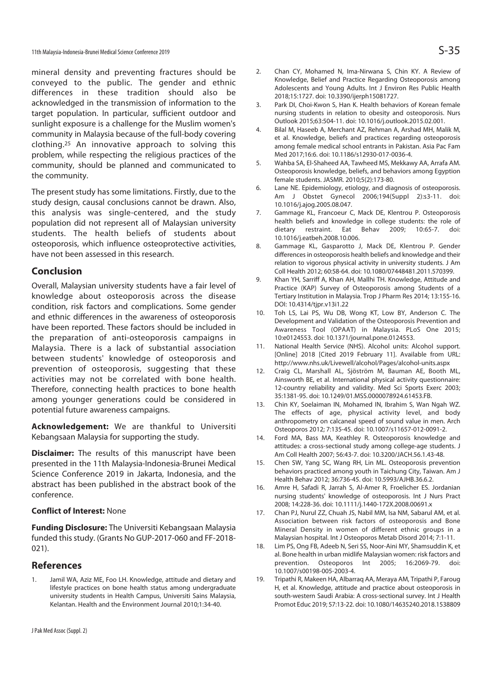mineral density and preventing fractures should be conveyed to the public. The gender and ethnic differences in these tradition should also be acknowledged in the transmission of information to the target population. In particular, sufficient outdoor and sunlight exposure is a challenge for the Muslim women's community in Malaysia because of the full-body covering clothing.25 An innovative approach to solving this problem, while respecting the religious practices of the community, should be planned and communicated to the community.

The present study has some limitations. Firstly, due to the study design, causal conclusions cannot be drawn. Also, this analysis was single-centered, and the study population did not represent all of Malaysian university students. The health beliefs of students about osteoporosis, which influence osteoprotective activities, have not been assessed in this research.

## **Conclusion**

Overall, Malaysian university students have a fair level of knowledge about osteoporosis across the disease condition, risk factors and complications. Some gender and ethnic differences in the awareness of osteoporosis have been reported. These factors should be included in the preparation of anti-osteoporosis campaigns in Malaysia. There is a lack of substantial association between students' knowledge of osteoporosis and prevention of osteoporosis, suggesting that these activities may not be correlated with bone health. Therefore, connecting health practices to bone health among younger generations could be considered in potential future awareness campaigns.

**Acknowledgement:** We are thankful to Universiti Kebangsaan Malaysia for supporting the study.

**Disclaimer:** The results of this manuscript have been presented in the 11th Malaysia-Indonesia-Brunei Medical Science Conference 2019 in Jakarta, Indonesia, and the abstract has been published in the abstract book of the conference.

#### **Conflict of Interest:** None

**Funding Disclosure:** The Universiti Kebangsaan Malaysia funded this study. (Grants No GUP-2017-060 and FF-2018- 021).

### **References**

Jamil WA, Aziz ME, Foo LH. Knowledge, attitude and dietary and lifestyle practices on bone health status among undergraduate university students in Health Campus, Universiti Sains Malaysia, Kelantan. Health and the Environment Journal 2010;1:34-40.

- 2. Chan CY, Mohamed N, Ima-Nirwana S, Chin KY. A Review of Knowledge, Belief and Practice Regarding Osteoporosis among Adolescents and Young Adults. Int J Environ Res Public Health 2018;15:1727. doi: 10.3390/ijerph15081727.
- 3. Park DI, Choi-Kwon S, Han K. Health behaviors of Korean female nursing students in relation to obesity and osteoporosis. Nurs Outlook 2015;63:504-11. doi: 10.1016/j.outlook.2015.02.001.
- 4. Bilal M, Haseeb A, Merchant AZ, Rehman A, Arshad MH, Malik M, et al. Knowledge, beliefs and practices regarding osteoporosis among female medical school entrants in Pakistan. Asia Pac Fam Med 2017;16:6. doi: 10.1186/s12930-017-0036-4.
- 5. Wahba SA, El-Shaheed AA, Tawheed MS, Mekkawy AA, Arrafa AM. Osteoporosis knowledge, beliefs, and behaviors among Egyption female students. JASMR. 2010;5(2):173-80.
- 6. Lane NE. Epidemiology, etiology, and diagnosis of osteoporosis. Am J Obstet Gynecol 2006;194(Suppl 2):s3-11. doi: 10.1016/j.ajog.2005.08.047.
- 7. Gammage KL, Francoeur C, Mack DE, Klentrou P. Osteoporosis health beliefs and knowledge in college students: the role of dietary restraint. Eat Behav 2009; 10:65-7. doi: 10.1016/j.eatbeh.2008.10.006.
- 8. Gammage KL, Gasparotto J, Mack DE, Klentrou P. Gender differences in osteoporosis health beliefs and knowledge and their relation to vigorous physical activity in university students. J Am Coll Health 2012; 60:58-64. doi: 10.1080/07448481.2011.570399.
- 9. Khan YH, Sarriff A, Khan AH, Mallhi TH. Knowledge, Attitude and Practice (KAP) Survey of Osteoporosis among Students of a Tertiary Institution in Malaysia. Trop J Pharm Res 2014; 13:155-16. DOI: 10.4314/tjpr.v13i1.22
- 10. Toh LS, Lai PS, Wu DB, Wong KT, Low BY, Anderson C. The Development and Validation of the Osteoporosis Prevention and Awareness Tool (OPAAT) in Malaysia. PLoS One 2015; 10:e0124553. doi: 10.1371/journal.pone.0124553.
- 11. National Health Service (NHS). Alcohol units: Alcohol support. [Online] 2018 [Cited 2019 February 11]. Available from URL: http://www.nhs.uk/Livewell/alcohol/Pages/alcohol-units.aspx
- 12. Craig CL, Marshall AL, Sjöström M, Bauman AE, Booth ML, Ainsworth BE, et al. International physical activity questionnaire: 12-country reliability and validity. Med Sci Sports Exerc 2003; 35:1381-95. doi: 10.1249/01.MSS.0000078924.61453.FB.
- 13. Chin KY, Soelaiman IN, Mohamed IN, Ibrahim S, Wan Ngah WZ. The effects of age, physical activity level, and body anthropometry on calcaneal speed of sound value in men. Arch Osteoporos 2012; 7:135-45. doi: 10.1007/s11657-012-0091-2.
- 14. Ford MA, Bass MA, Keathley R. Osteoporosis knowledge and attitudes: a cross-sectional study among college-age students. J Am Coll Health 2007; 56:43-7. doi: 10.3200/JACH.56.1.43-48.
- 15. Chen SW, Yang SC, Wang RH, Lin ML. Osteoporosis prevention behaviors practiced among youth in Taichung City, Taiwan. Am J Health Behav 2012; 36:736-45. doi: 10.5993/AJHB.36.6.2.
- 16. Amre H, Safadi R, Jarrah S, Al-Amer R, Froelicher ES. Jordanian nursing students' knowledge of osteoporosis. Int J Nurs Pract 2008; 14:228-36. doi: 10.1111/j.1440-172X.2008.00691.x
- 17. Chan PJ, Nurul ZZ, Chuah JS, Nabil MM, Isa NM, Sabarul AM, et al. Association between risk factors of osteoporosis and Bone Mineral Density in women of different ethnic groups in a Malaysian hospital. Int J Osteoporos Metab Disord 2014; 7:1-11.
- 18. Lim PS, Ong FB, Adeeb N, Seri SS, Noor-Aini MY, Shamsuddin K, et al. Bone health in urban midlife Malaysian women: risk factors and prevention. Osteoporos Int 2005; 16:2069-79. doi: 10.1007/s00198-005-2003-4.
- 19. Tripathi R, Makeen HA, Albarraq AA, Meraya AM, Tripathi P, Faroug H, et al. Knowledge, attitude and practice about osteoporosis in south-western Saudi Arabia: A cross-sectional survey. Int J Health Promot Educ 2019; 57:13-22. doi: 10.1080/14635240.2018.1538809